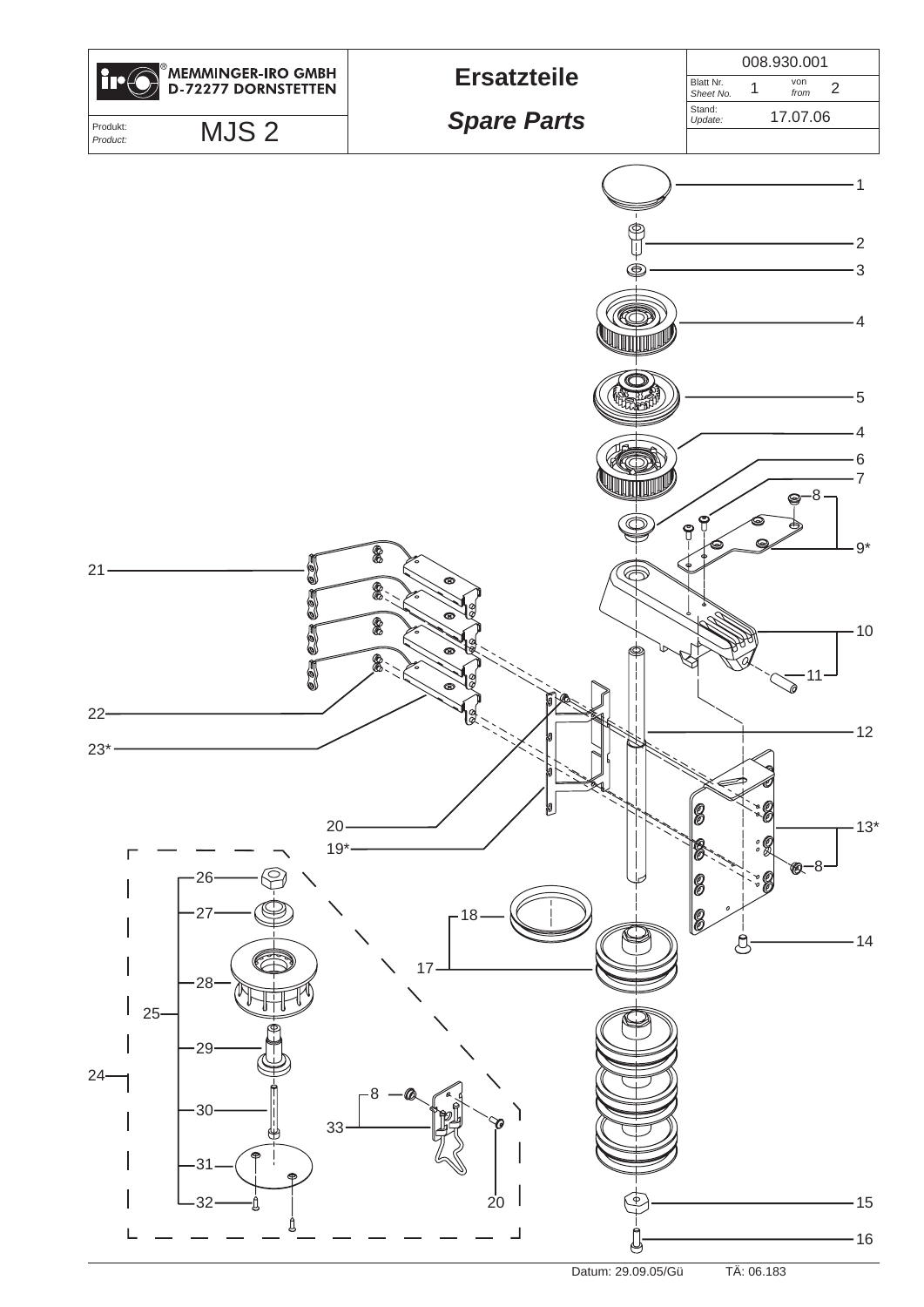

Datum: 29.09.05/Gü TÄ: 06.183